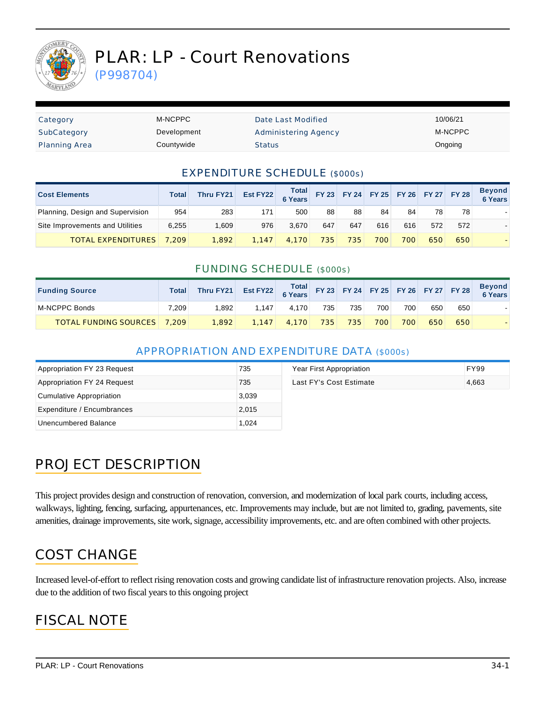

# PLAR: LP - Court Renovations

(P998704)

| Category             | M-NCPPC     | Date Last Modified   | 10/06/21 |
|----------------------|-------------|----------------------|----------|
| SubCategory          | Development | Administering Agency | M-NCPPC  |
| <b>Planning Area</b> | Countywide  | <b>Status</b>        | Ongoing  |

#### EXPENDITURE SCHEDULE (\$000s)

| <b>Cost Elements</b>             | <b>Total</b> | Thru FY21 | Est FY22 | Total FY 23 FY 24 FY 25 FY 26 FY 27 FY 28 |     |     |     |     |     |     | <b>Beyond</b><br>6 Years |
|----------------------------------|--------------|-----------|----------|-------------------------------------------|-----|-----|-----|-----|-----|-----|--------------------------|
| Planning, Design and Supervision | 954          | 283       | 171      | 500                                       | 88  | 88  | 84  | 84  | 78  | 78  |                          |
| Site Improvements and Utilities  | 6.255        | .609      | 976      | 3.670                                     | 647 | 647 | 616 | 616 | 572 | 572 |                          |
| <b>TOTAL EXPENDITURES</b>        | 7.209        | 1.892     | 1.147    | 4.170                                     | 735 | 735 | 700 | 700 | 650 | 650 |                          |

#### FUNDING SCHEDULE (\$000s)

| <b>Funding Source</b>              | Total | Thru FY21 | Est FY22 $\begin{array}{ c c c c c c }\n\hline\n\text{Total} & \text{FY 23} & \text{FY 24} & \text{FY 25} & \text{FY 26} & \text{FY 27} & \text{FY 28}\n\hline\n\end{array}$ |       |     |     |     |     |     |     | <b>Beyond</b><br>6 Years |
|------------------------------------|-------|-----------|------------------------------------------------------------------------------------------------------------------------------------------------------------------------------|-------|-----|-----|-----|-----|-----|-----|--------------------------|
| M-NCPPC Bonds                      | 7.209 | .892      | 1.147                                                                                                                                                                        | 4.170 | 735 | 735 | 700 | 700 | 650 | 650 |                          |
| <b>TOTAL FUNDING SOURCES</b> 7.209 |       | 1,892     | 1.147                                                                                                                                                                        | 4.170 | 735 | 735 | 700 | 700 | 650 | 650 |                          |

#### APPROPRIATION AND EXPENDITURE DATA (\$000s)

| Appropriation FY 23 Request | 735   | Year First Appropriation | <b>FY99</b> |
|-----------------------------|-------|--------------------------|-------------|
| Appropriation FY 24 Request | 735   | Last FY's Cost Estimate  | 4,663       |
| Cumulative Appropriation    | 3,039 |                          |             |
| Expenditure / Encumbrances  | 2,015 |                          |             |
| Unencumbered Balance        | 1.024 |                          |             |

### PROJECT DESCRIPTION

This project provides design and construction of renovation, conversion, and modernization of local park courts, including access, walkways, lighting, fencing, surfacing, appurtenances, etc. Improvements may include, but are not limited to, grading, pavements, site amenities, drainage improvements, site work, signage, accessibility improvements, etc. and are often combined with other projects.

### COST CHANGE

Increased level-of-effort to reflect rising renovation costs and growing candidate list of infrastructure renovation projects. Also, increase due to the addition of two fiscal years to this ongoing project

### FISCAL NOTE